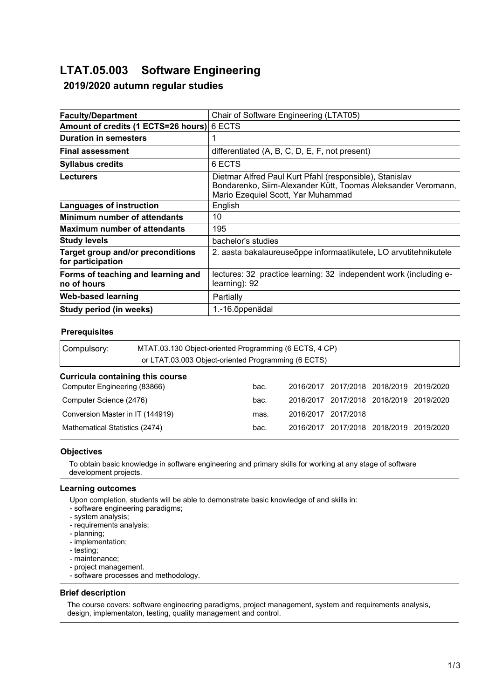#### **LTAT.05.003 Software Engineering**

# **2019/2020 autumn regular studies**

| <b>Faculty/Department</b>                              | Chair of Software Engineering (LTAT05)                                                                                                                        |  |  |
|--------------------------------------------------------|---------------------------------------------------------------------------------------------------------------------------------------------------------------|--|--|
| Amount of credits (1 ECTS=26 hours) 6 ECTS             |                                                                                                                                                               |  |  |
| <b>Duration in semesters</b>                           | 1                                                                                                                                                             |  |  |
| <b>Final assessment</b>                                | differentiated (A, B, C, D, E, F, not present)                                                                                                                |  |  |
| <b>Syllabus credits</b>                                | 6 ECTS                                                                                                                                                        |  |  |
| <b>Lecturers</b>                                       | Dietmar Alfred Paul Kurt Pfahl (responsible), Stanislav<br>Bondarenko, Siim-Alexander Kütt, Toomas Aleksander Veromann,<br>Mario Ezequiel Scott, Yar Muhammad |  |  |
| Languages of instruction                               | English                                                                                                                                                       |  |  |
| Minimum number of attendants                           | 10                                                                                                                                                            |  |  |
| <b>Maximum number of attendants</b>                    | 195                                                                                                                                                           |  |  |
| <b>Study levels</b>                                    | bachelor's studies                                                                                                                                            |  |  |
| Target group and/or preconditions<br>for participation | 2. aasta bakalaureuseõppe informaatikutele, LO arvutitehnikutele                                                                                              |  |  |
| Forms of teaching and learning and<br>no of hours      | lectures: 32 practice learning: 32 independent work (including e-<br>learning): 92                                                                            |  |  |
| <b>Web-based learning</b>                              | Partially                                                                                                                                                     |  |  |
| Study period (in weeks)                                | 1.-16.õppenädal                                                                                                                                               |  |  |
|                                                        |                                                                                                                                                               |  |  |

#### **Prerequisites**

| Compulsory:                                                             | MTAT.03.130 Object-oriented Programming (6 ECTS, 4 CP)<br>or LTAT.03.003 Object-oriented Programming (6 ECTS) |      |           |           |                     |           |
|-------------------------------------------------------------------------|---------------------------------------------------------------------------------------------------------------|------|-----------|-----------|---------------------|-----------|
| <b>Curricula containing this course</b><br>Computer Engineering (83866) |                                                                                                               | bac. | 2016/2017 |           | 2017/2018 2018/2019 | 2019/2020 |
| Computer Science (2476)                                                 |                                                                                                               | bac. | 2016/2017 | 2017/2018 | 2018/2019           | 2019/2020 |
| Conversion Master in IT (144919)                                        |                                                                                                               | mas. | 2016/2017 | 2017/2018 |                     |           |
| Mathematical Statistics (2474)                                          |                                                                                                               | bac. | 2016/2017 | 2017/2018 | 2018/2019           | 2019/2020 |

## **Objectives**

To obtain basic knowledge in software engineering and primary skills for working at any stage of software development projects.

#### **Learning outcomes**

Upon completion, students will be able to demonstrate basic knowledge of and skills in:

- software engineering paradigms;
- system analysis;
- requirements analysis;
- planning;
- implementation;
- testing;
- maintenance;
- project management. - software processes and methodology.

#### **Brief description**

The course covers: software engineering paradigms, project management, system and requirements analysis, design, implementaton, testing, quality management and control.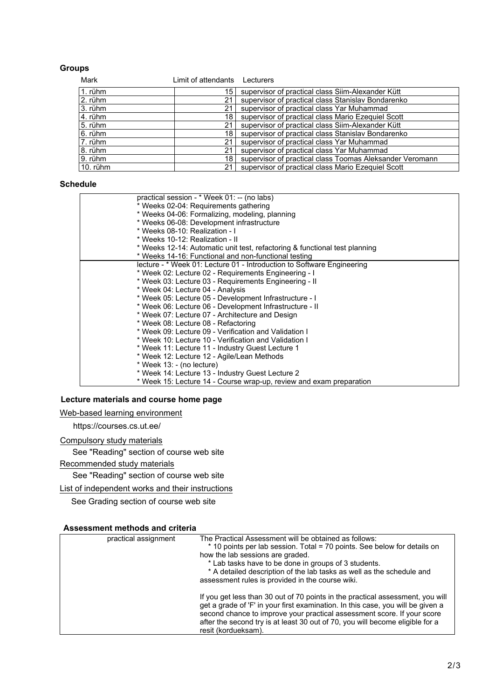#### **Groups**

| Mark        | Limit of attendants Lecturers |                                                          |
|-------------|-------------------------------|----------------------------------------------------------|
| 1. rühm     | 15                            | supervisor of practical class Siim-Alexander Kütt        |
| 2. rühm     | 21                            | supervisor of practical class Stanislav Bondarenko       |
| 3. rühm     | 21                            | supervisor of practical class Yar Muhammad               |
| 4. rühm     | 18                            | supervisor of practical class Mario Ezequiel Scott       |
| 5. rühm     | 21                            | supervisor of practical class Siim-Alexander Kütt        |
| 6. rühm     | 18 <sup>1</sup>               | supervisor of practical class Stanislav Bondarenko       |
| 7. rühm     | 21                            | supervisor of practical class Yar Muhammad               |
| 8. rühm     | 21                            | supervisor of practical class Yar Muhammad               |
| 9. rühm     | 18                            | supervisor of practical class Toomas Aleksander Veromann |
| 10. $ru$ hm | 21                            | supervisor of practical class Mario Ezequiel Scott       |

## **Schedule**

| practical session - * Week 01: -- (no labs)                                |
|----------------------------------------------------------------------------|
| * Weeks 02-04: Requirements gathering                                      |
| * Weeks 04-06: Formalizing, modeling, planning                             |
| * Weeks 06-08: Development infrastructure                                  |
| * Weeks 08-10: Realization - I                                             |
| * Weeks 10-12: Realization - II                                            |
| * Weeks 12-14: Automatic unit test, refactoring & functional test planning |
| * Weeks 14-16: Functional and non-functional testing                       |
| lecture - * Week 01: Lecture 01 - Introduction to Software Engineering     |
| * Week 02: Lecture 02 - Requirements Engineering - I                       |
| * Week 03: Lecture 03 - Requirements Engineering - II                      |
| * Week 04: Lecture 04 - Analysis                                           |
| * Week 05: Lecture 05 - Development Infrastructure - I                     |
| * Week 06: Lecture 06 - Development Infrastructure - II                    |
| * Week 07: Lecture 07 - Architecture and Design                            |
| * Week 08: Lecture 08 - Refactoring                                        |
| * Week 09: Lecture 09 - Verification and Validation I                      |
| * Week 10: Lecture 10 - Verification and Validation I                      |
| * Week 11: Lecture 11 - Industry Guest Lecture 1                           |
| * Week 12: Lecture 12 - Agile/Lean Methods                                 |
| * Week 13: - (no lecture)                                                  |
| * Week 14: Lecture 13 - Industry Guest Lecture 2                           |
| * Week 15: Lecture 14 - Course wrap-up, review and exam preparation        |
|                                                                            |

## **Lecture materials and course home page**

#### Web-based learning environment

https://courses.cs.ut.ee/

## Compulsory study materials

See "Reading" section of course web site

## Recommended study materials

See "Reading" section of course web site

List of independent works and their instructions

See Grading section of course web site

### **Assessment methods and criteria**

| practical assignment | The Practical Assessment will be obtained as follows:                                                                                                                                                                                        |
|----------------------|----------------------------------------------------------------------------------------------------------------------------------------------------------------------------------------------------------------------------------------------|
|                      | * 10 points per lab session. Total = 70 points. See below for details on                                                                                                                                                                     |
|                      | how the lab sessions are graded.                                                                                                                                                                                                             |
|                      | * Lab tasks have to be done in groups of 3 students.                                                                                                                                                                                         |
|                      | * A detailed description of the lab tasks as well as the schedule and                                                                                                                                                                        |
|                      | assessment rules is provided in the course wiki.                                                                                                                                                                                             |
|                      | If you get less than 30 out of 70 points in the practical assessment, you will<br>get a grade of 'F' in your first examination. In this case, you will be given a<br>second chance to improve your practical assessment score. If your score |
|                      | after the second try is at least 30 out of 70, you will become eligible for a                                                                                                                                                                |
|                      | resit (kordueksam).                                                                                                                                                                                                                          |